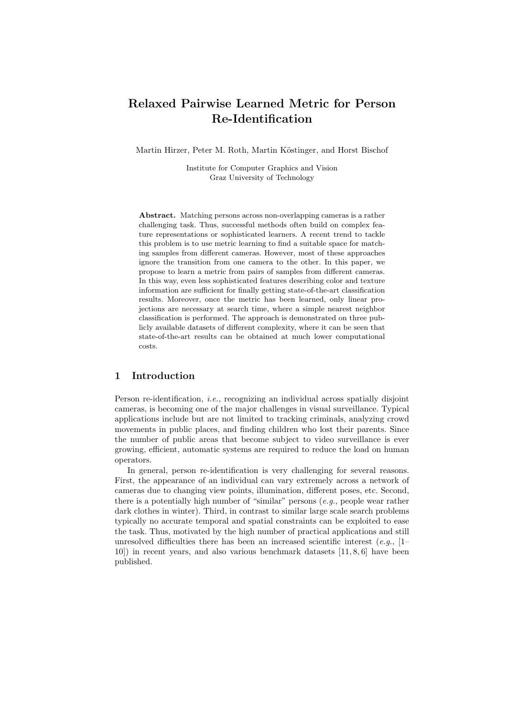# Relaxed Pairwise Learned Metric for Person Re-Identification

Martin Hirzer, Peter M. Roth, Martin Köstinger, and Horst Bischof

Institute for Computer Graphics and Vision Graz University of Technology

Abstract. Matching persons across non-overlapping cameras is a rather challenging task. Thus, successful methods often build on complex feature representations or sophisticated learners. A recent trend to tackle this problem is to use metric learning to find a suitable space for matching samples from different cameras. However, most of these approaches ignore the transition from one camera to the other. In this paper, we propose to learn a metric from pairs of samples from different cameras. In this way, even less sophisticated features describing color and texture information are sufficient for finally getting state-of-the-art classification results. Moreover, once the metric has been learned, only linear projections are necessary at search time, where a simple nearest neighbor classification is performed. The approach is demonstrated on three publicly available datasets of different complexity, where it can be seen that state-of-the-art results can be obtained at much lower computational costs.

# 1 Introduction

Person re-identification, *i.e.*, recognizing an individual across spatially disjoint cameras, is becoming one of the major challenges in visual surveillance. Typical applications include but are not limited to tracking criminals, analyzing crowd movements in public places, and finding children who lost their parents. Since the number of public areas that become subject to video surveillance is ever growing, efficient, automatic systems are required to reduce the load on human operators.

In general, person re-identification is very challenging for several reasons. First, the appearance of an individual can vary extremely across a network of cameras due to changing view points, illumination, different poses, etc. Second, there is a potentially high number of "similar" persons  $(e.g.,]$  people wear rather dark clothes in winter). Third, in contrast to similar large scale search problems typically no accurate temporal and spatial constraints can be exploited to ease the task. Thus, motivated by the high number of practical applications and still unresolved difficulties there has been an increased scientific interest (e.g.,  $[1-\]$ 10]) in recent years, and also various benchmark datasets [11, 8, 6] have been published.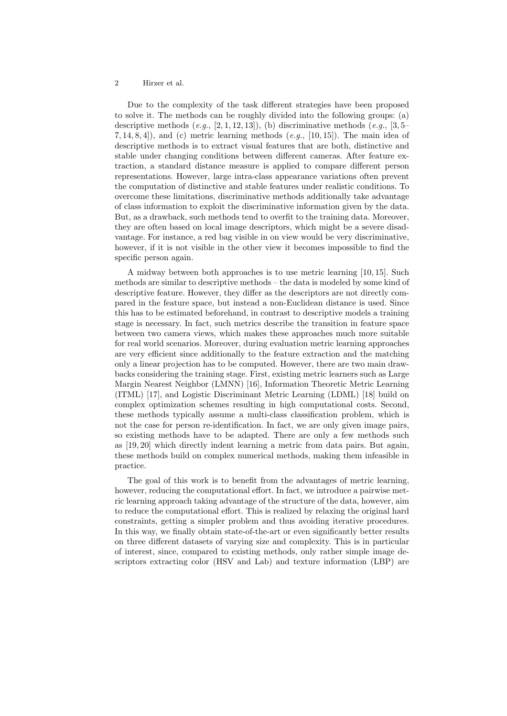Due to the complexity of the task different strategies have been proposed to solve it. The methods can be roughly divided into the following groups: (a) descriptive methods  $(e.g., [2, 1, 12, 13]),$  (b) discriminative methods  $(e.g., [3, 5-$ 7, 14, 8, 4), and (c) metric learning methods  $(e.q., [10, 15])$ . The main idea of descriptive methods is to extract visual features that are both, distinctive and stable under changing conditions between different cameras. After feature extraction, a standard distance measure is applied to compare different person representations. However, large intra-class appearance variations often prevent the computation of distinctive and stable features under realistic conditions. To overcome these limitations, discriminative methods additionally take advantage of class information to exploit the discriminative information given by the data. But, as a drawback, such methods tend to overfit to the training data. Moreover, they are often based on local image descriptors, which might be a severe disadvantage. For instance, a red bag visible in on view would be very discriminative, however, if it is not visible in the other view it becomes impossible to find the specific person again.

A midway between both approaches is to use metric learning [10, 15]. Such methods are similar to descriptive methods – the data is modeled by some kind of descriptive feature. However, they differ as the descriptors are not directly compared in the feature space, but instead a non-Euclidean distance is used. Since this has to be estimated beforehand, in contrast to descriptive models a training stage is necessary. In fact, such metrics describe the transition in feature space between two camera views, which makes these approaches much more suitable for real world scenarios. Moreover, during evaluation metric learning approaches are very efficient since additionally to the feature extraction and the matching only a linear projection has to be computed. However, there are two main drawbacks considering the training stage. First, existing metric learners such as Large Margin Nearest Neighbor (LMNN) [16], Information Theoretic Metric Learning (ITML) [17], and Logistic Discriminant Metric Learning (LDML) [18] build on complex optimization schemes resulting in high computational costs. Second, these methods typically assume a multi-class classification problem, which is not the case for person re-identification. In fact, we are only given image pairs, so existing methods have to be adapted. There are only a few methods such as [19, 20] which directly indent learning a metric from data pairs. But again, these methods build on complex numerical methods, making them infeasible in practice.

The goal of this work is to benefit from the advantages of metric learning, however, reducing the computational effort. In fact, we introduce a pairwise metric learning approach taking advantage of the structure of the data, however, aim to reduce the computational effort. This is realized by relaxing the original hard constraints, getting a simpler problem and thus avoiding iterative procedures. In this way, we finally obtain state-of-the-art or even significantly better results on three different datasets of varying size and complexity. This is in particular of interest, since, compared to existing methods, only rather simple image descriptors extracting color (HSV and Lab) and texture information (LBP) are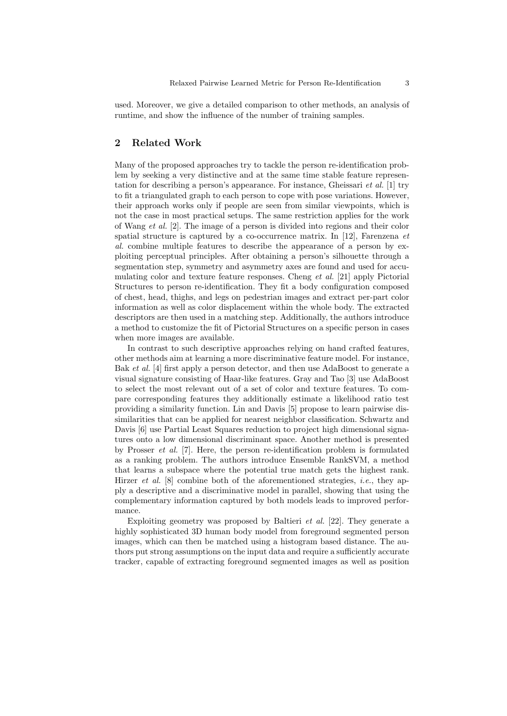used. Moreover, we give a detailed comparison to other methods, an analysis of runtime, and show the influence of the number of training samples.

# 2 Related Work

Many of the proposed approaches try to tackle the person re-identification problem by seeking a very distinctive and at the same time stable feature representation for describing a person's appearance. For instance, Gheissari *et al.* [1] try to fit a triangulated graph to each person to cope with pose variations. However, their approach works only if people are seen from similar viewpoints, which is not the case in most practical setups. The same restriction applies for the work of Wang et al. [2]. The image of a person is divided into regions and their color spatial structure is captured by a co-occurrence matrix. In [12], Farenzena  $et$ al. combine multiple features to describe the appearance of a person by exploiting perceptual principles. After obtaining a person's silhouette through a segmentation step, symmetry and asymmetry axes are found and used for accumulating color and texture feature responses. Cheng et al. [21] apply Pictorial Structures to person re-identification. They fit a body configuration composed of chest, head, thighs, and legs on pedestrian images and extract per-part color information as well as color displacement within the whole body. The extracted descriptors are then used in a matching step. Additionally, the authors introduce a method to customize the fit of Pictorial Structures on a specific person in cases when more images are available.

In contrast to such descriptive approaches relying on hand crafted features, other methods aim at learning a more discriminative feature model. For instance, Bak et al. [4] first apply a person detector, and then use AdaBoost to generate a visual signature consisting of Haar-like features. Gray and Tao [3] use AdaBoost to select the most relevant out of a set of color and texture features. To compare corresponding features they additionally estimate a likelihood ratio test providing a similarity function. Lin and Davis [5] propose to learn pairwise dissimilarities that can be applied for nearest neighbor classification. Schwartz and Davis [6] use Partial Least Squares reduction to project high dimensional signatures onto a low dimensional discriminant space. Another method is presented by Prosser et al. [7]. Here, the person re-identification problem is formulated as a ranking problem. The authors introduce Ensemble RankSVM, a method that learns a subspace where the potential true match gets the highest rank. Hirzer *et al.* [8] combine both of the aforementioned strategies, *i.e.*, they apply a descriptive and a discriminative model in parallel, showing that using the complementary information captured by both models leads to improved performance.

Exploiting geometry was proposed by Baltieri et al. [22]. They generate a highly sophisticated 3D human body model from foreground segmented person images, which can then be matched using a histogram based distance. The authors put strong assumptions on the input data and require a sufficiently accurate tracker, capable of extracting foreground segmented images as well as position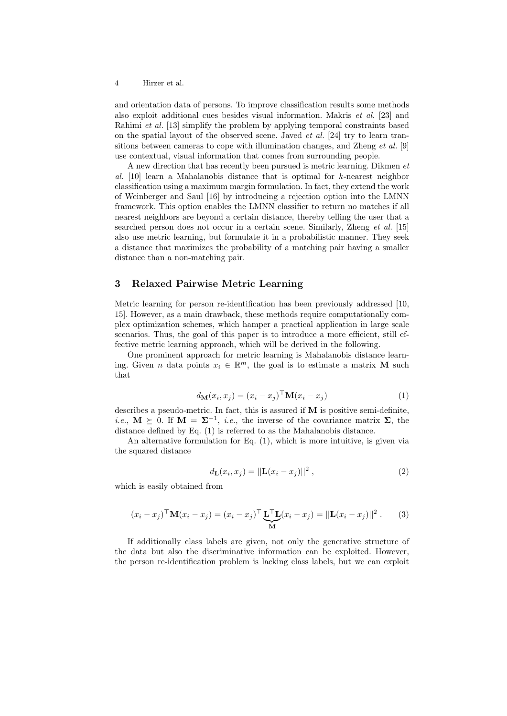and orientation data of persons. To improve classification results some methods also exploit additional cues besides visual information. Makris et al. [23] and Rahimi et al. [13] simplify the problem by applying temporal constraints based on the spatial layout of the observed scene. Javed  $et al.$  [24] try to learn transitions between cameras to cope with illumination changes, and Zheng *et al.* [9] use contextual, visual information that comes from surrounding people.

A new direction that has recently been pursued is metric learning. Dikmen et al. [10] learn a Mahalanobis distance that is optimal for  $k$ -nearest neighbor classification using a maximum margin formulation. In fact, they extend the work of Weinberger and Saul [16] by introducing a rejection option into the LMNN framework. This option enables the LMNN classifier to return no matches if all nearest neighbors are beyond a certain distance, thereby telling the user that a searched person does not occur in a certain scene. Similarly, Zheng et al. [15] also use metric learning, but formulate it in a probabilistic manner. They seek a distance that maximizes the probability of a matching pair having a smaller distance than a non-matching pair.

# 3 Relaxed Pairwise Metric Learning

Metric learning for person re-identification has been previously addressed [10, 15]. However, as a main drawback, these methods require computationally complex optimization schemes, which hamper a practical application in large scale scenarios. Thus, the goal of this paper is to introduce a more efficient, still effective metric learning approach, which will be derived in the following.

One prominent approach for metric learning is Mahalanobis distance learning. Given *n* data points  $x_i \in \mathbb{R}^m$ , the goal is to estimate a matrix **M** such that

$$
d_{\mathbf{M}}(x_i, x_j) = (x_i - x_j)^{\top} \mathbf{M}(x_i - x_j)
$$
\n(1)

describes a pseudo-metric. In fact, this is assured if M is positive semi-definite, *i.e.*,  $M \succeq 0$ . If  $M = \Sigma^{-1}$ , *i.e.*, the inverse of the covariance matrix  $\Sigma$ , the distance defined by Eq. (1) is referred to as the Mahalanobis distance.

An alternative formulation for Eq. (1), which is more intuitive, is given via the squared distance

$$
d_{\mathbf{L}}(x_i, x_j) = ||\mathbf{L}(x_i - x_j)||^2, \qquad (2)
$$

which is easily obtained from

$$
(x_i - x_j)^{\top} \mathbf{M}(x_i - x_j) = (x_i - x_j)^{\top} \underbrace{\mathbf{L}^{\top} \mathbf{L}}_{\mathbf{M}} (x_i - x_j) = ||\mathbf{L}(x_i - x_j)||^2.
$$
 (3)

If additionally class labels are given, not only the generative structure of the data but also the discriminative information can be exploited. However, the person re-identification problem is lacking class labels, but we can exploit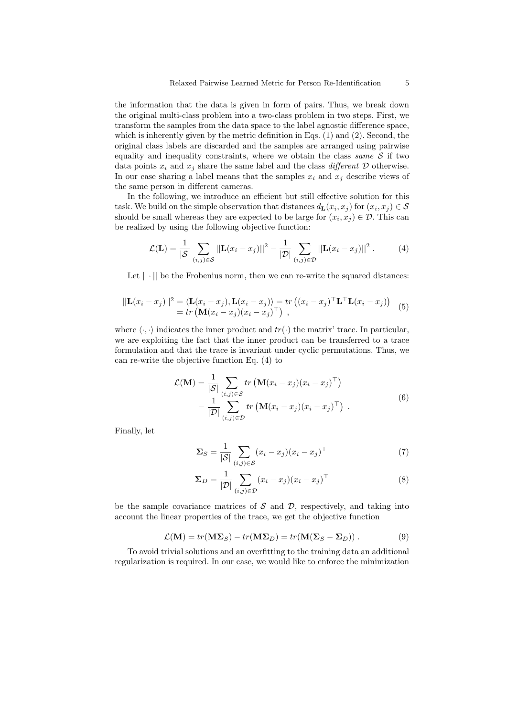the information that the data is given in form of pairs. Thus, we break down the original multi-class problem into a two-class problem in two steps. First, we transform the samples from the data space to the label agnostic difference space, which is inherently given by the metric definition in Eqs. (1) and (2). Second, the original class labels are discarded and the samples are arranged using pairwise equality and inequality constraints, where we obtain the class same  $S$  if two data points  $x_i$  and  $x_j$  share the same label and the class *different*  $D$  otherwise. In our case sharing a label means that the samples  $x_i$  and  $x_j$  describe views of the same person in different cameras.

In the following, we introduce an efficient but still effective solution for this task. We build on the simple observation that distances  $d_{\mathbf{L}}(x_i, x_j)$  for  $(x_i, x_j) \in \mathcal{S}$ should be small whereas they are expected to be large for  $(x_i, x_j) \in \mathcal{D}$ . This can be realized by using the following objective function:

$$
\mathcal{L}(\mathbf{L}) = \frac{1}{|\mathcal{S}|} \sum_{(i,j) \in \mathcal{S}} ||\mathbf{L}(x_i - x_j)||^2 - \frac{1}{|\mathcal{D}|} \sum_{(i,j) \in \mathcal{D}} ||\mathbf{L}(x_i - x_j)||^2.
$$
 (4)

Let  $|| \cdot ||$  be the Frobenius norm, then we can re-write the squared distances:

$$
||\mathbf{L}(x_i - x_j)||^2 = \langle \mathbf{L}(x_i - x_j), \mathbf{L}(x_i - x_j) \rangle = tr ((x_i - x_j)^\top \mathbf{L}^\top \mathbf{L}(x_i - x_j))
$$
  
= tr ( $\mathbf{M}(x_i - x_j)(x_i - x_j)^\top$ ), (5)

where  $\langle \cdot, \cdot \rangle$  indicates the inner product and  $tr(\cdot)$  the matrix' trace. In particular, we are exploiting the fact that the inner product can be transferred to a trace formulation and that the trace is invariant under cyclic permutations. Thus, we can re-write the objective function Eq. (4) to

$$
\mathcal{L}(\mathbf{M}) = \frac{1}{|\mathcal{S}|} \sum_{(i,j) \in \mathcal{S}} tr\left(\mathbf{M}(x_i - x_j)(x_i - x_j)^\top\right) \n- \frac{1}{|\mathcal{D}|} \sum_{(i,j) \in \mathcal{D}} tr\left(\mathbf{M}(x_i - x_j)(x_i - x_j)^\top\right).
$$
\n(6)

Finally, let

$$
\Sigma_S = \frac{1}{|\mathcal{S}|} \sum_{(i,j) \in \mathcal{S}} (x_i - x_j)(x_i - x_j)^\top \tag{7}
$$

$$
\Sigma_D = \frac{1}{|\mathcal{D}|} \sum_{(i,j) \in \mathcal{D}} (x_i - x_j)(x_i - x_j)^\top \tag{8}
$$

be the sample covariance matrices of  $S$  and  $D$ , respectively, and taking into account the linear properties of the trace, we get the objective function

$$
\mathcal{L}(\mathbf{M}) = tr(\mathbf{M}\mathbf{\Sigma}_S) - tr(\mathbf{M}\mathbf{\Sigma}_D) = tr(\mathbf{M}(\mathbf{\Sigma}_S - \mathbf{\Sigma}_D)).
$$
\n(9)

To avoid trivial solutions and an overfitting to the training data an additional regularization is required. In our case, we would like to enforce the minimization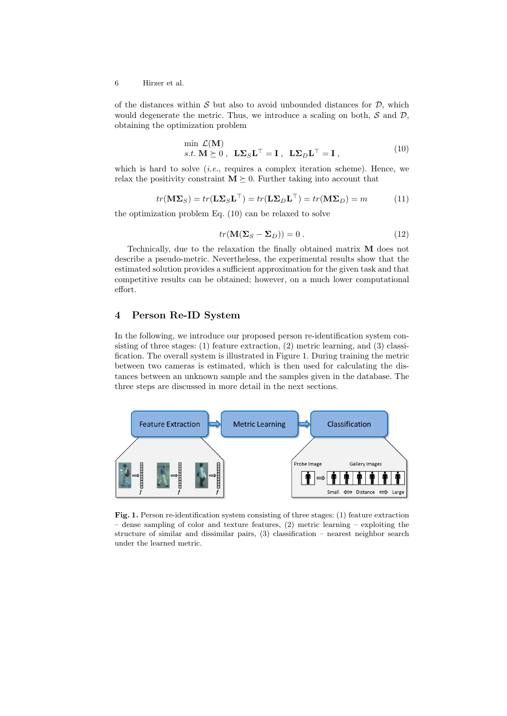of the distances within  $S$  but also to avoid unbounded distances for  $D$ , which would degenerate the metric. Thus, we introduce a scaling on both,  $S$  and  $D$ , obtaining the optimization problem

$$
\min_{s.t.} \mathcal{L}(\mathbf{M})
$$
  

$$
s.t. \mathbf{M} \succeq 0, \quad \mathbf{L}\mathbf{\Sigma}_S \mathbf{L}^\top = \mathbf{I}, \quad \mathbf{L}\mathbf{\Sigma}_D \mathbf{L}^\top = \mathbf{I}, \tag{10}
$$

which is hard to solve (*i.e.*, requires a complex iteration scheme). Hence, we relax the positivity constraint  $M \succeq 0$ . Further taking into account that

$$
tr(\mathbf{M}\Sigma_S) = tr(\mathbf{L}\Sigma_S\mathbf{L}^\top) = tr(\mathbf{L}\Sigma_D\mathbf{L}^\top) = tr(\mathbf{M}\Sigma_D) = m \tag{11}
$$

the optimization problem Eq. (10) can be relaxed to solve

$$
tr(\mathbf{M}(\Sigma_S - \Sigma_D)) = 0.
$$
 (12)

Technically, due to the relaxation the finally obtained matrix M does not describe a pseudo-metric. Nevertheless, the experimental results show that the estimated solution provides a sufficient approximation for the given task and that competitive results can be obtained; however, on a much lower computational effort.

# 4 Person Re-ID System

In the following, we introduce our proposed person re-identification system consisting of three stages: (1) feature extraction, (2) metric learning, and (3) classification. The overall system is illustrated in Figure 1. During training the metric between two cameras is estimated, which is then used for calculating the distances between an unknown sample and the samples given in the database. The three steps are discussed in more detail in the next sections.



Fig. 1. Person re-identification system consisting of three stages: (1) feature extraction – dense sampling of color and texture features, (2) metric learning – exploiting the structure of similar and dissimilar pairs, (3) classification – nearest neighbor search under the learned metric.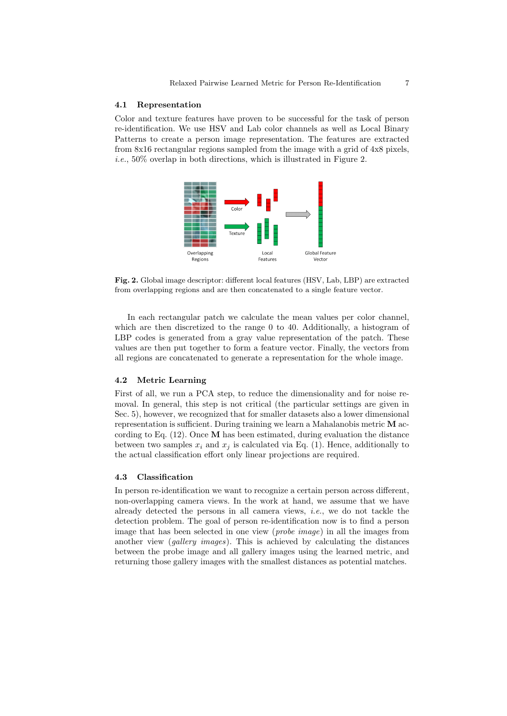#### 4.1 Representation

Color and texture features have proven to be successful for the task of person re-identification. We use HSV and Lab color channels as well as Local Binary Patterns to create a person image representation. The features are extracted from 8x16 rectangular regions sampled from the image with a grid of 4x8 pixels, i.e., 50% overlap in both directions, which is illustrated in Figure 2.



Fig. 2. Global image descriptor: different local features (HSV, Lab, LBP) are extracted from overlapping regions and are then concatenated to a single feature vector.

In each rectangular patch we calculate the mean values per color channel, which are then discretized to the range 0 to 40. Additionally, a histogram of LBP codes is generated from a gray value representation of the patch. These values are then put together to form a feature vector. Finally, the vectors from all regions are concatenated to generate a representation for the whole image.

#### 4.2 Metric Learning

First of all, we run a PCA step, to reduce the dimensionality and for noise removal. In general, this step is not critical (the particular settings are given in Sec. 5), however, we recognized that for smaller datasets also a lower dimensional representation is sufficient. During training we learn a Mahalanobis metric  $\bf{M}$  according to Eq. (12). Once M has been estimated, during evaluation the distance between two samples  $x_i$  and  $x_j$  is calculated via Eq. (1). Hence, additionally to the actual classification effort only linear projections are required.

#### 4.3 Classification

In person re-identification we want to recognize a certain person across different, non-overlapping camera views. In the work at hand, we assume that we have already detected the persons in all camera views, i.e., we do not tackle the detection problem. The goal of person re-identification now is to find a person image that has been selected in one view (probe image) in all the images from another view (*gallery images*). This is achieved by calculating the distances between the probe image and all gallery images using the learned metric, and returning those gallery images with the smallest distances as potential matches.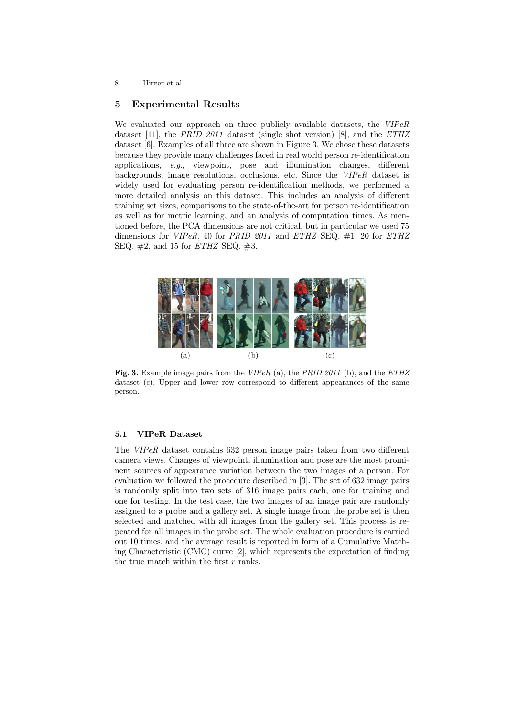## 5 Experimental Results

We evaluated our approach on three publicly available datasets, the VIPeR dataset [11], the PRID 2011 dataset (single shot version) [8], and the  $ETHZ$ dataset [6]. Examples of all three are shown in Figure 3. We chose these datasets because they provide many challenges faced in real world person re-identification applications, e.g., viewpoint, pose and illumination changes, different backgrounds, image resolutions, occlusions, etc. Since the VIPeR dataset is widely used for evaluating person re-identification methods, we performed a more detailed analysis on this dataset. This includes an analysis of different training set sizes, comparisons to the state-of-the-art for person re-identification as well as for metric learning, and an analysis of computation times. As mentioned before, the PCA dimensions are not critical, but in particular we used 75 dimensions for  $VIPeR$ , 40 for PRID 2011 and ETHZ SEQ.  $\#1$ , 20 for ETHZ SEQ.  $\#2$ , and 15 for *ETHZ* SEQ.  $\#3$ .



Fig. 3. Example image pairs from the VIPeR (a), the PRID 2011 (b), and the ETHZ dataset (c). Upper and lower row correspond to different appearances of the same person.

### 5.1 VIPeR Dataset

The VIPeR dataset contains 632 person image pairs taken from two different camera views. Changes of viewpoint, illumination and pose are the most prominent sources of appearance variation between the two images of a person. For evaluation we followed the procedure described in [3]. The set of 632 image pairs is randomly split into two sets of 316 image pairs each, one for training and one for testing. In the test case, the two images of an image pair are randomly assigned to a probe and a gallery set. A single image from the probe set is then selected and matched with all images from the gallery set. This process is repeated for all images in the probe set. The whole evaluation procedure is carried out 10 times, and the average result is reported in form of a Cumulative Matching Characteristic (CMC) curve [2], which represents the expectation of finding the true match within the first  $r$  ranks.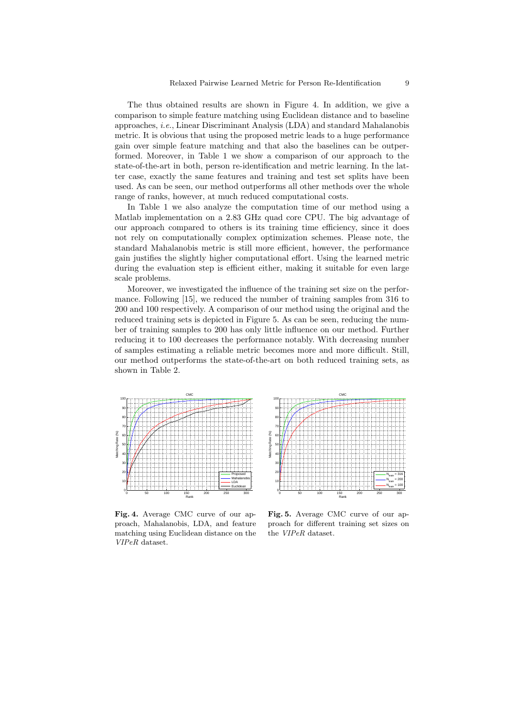The thus obtained results are shown in Figure 4. In addition, we give a comparison to simple feature matching using Euclidean distance and to baseline approaches, i.e., Linear Discriminant Analysis (LDA) and standard Mahalanobis metric. It is obvious that using the proposed metric leads to a huge performance gain over simple feature matching and that also the baselines can be outperformed. Moreover, in Table 1 we show a comparison of our approach to the state-of-the-art in both, person re-identification and metric learning. In the latter case, exactly the same features and training and test set splits have been used. As can be seen, our method outperforms all other methods over the whole range of ranks, however, at much reduced computational costs.

In Table 1 we also analyze the computation time of our method using a Matlab implementation on a 2.83 GHz quad core CPU. The big advantage of our approach compared to others is its training time efficiency, since it does not rely on computationally complex optimization schemes. Please note, the standard Mahalanobis metric is still more efficient, however, the performance gain justifies the slightly higher computational effort. Using the learned metric during the evaluation step is efficient either, making it suitable for even large scale problems.

Moreover, we investigated the influence of the training set size on the performance. Following [15], we reduced the number of training samples from 316 to 200 and 100 respectively. A comparison of our method using the original and the reduced training sets is depicted in Figure 5. As can be seen, reducing the number of training samples to 200 has only little influence on our method. Further reducing it to 100 decreases the performance notably. With decreasing number of samples estimating a reliable metric becomes more and more difficult. Still, our method outperforms the state-of-the-art on both reduced training sets, as shown in Table 2.



CMC 100 90 80 70 Vlatching Rate (%) Matching Rate (%) 60 50  $40<sub>1</sub>$  $30<sub>1</sub>$  $20<sub>1</sub>$  $N_{train} = 316$  $N_{\text{train}} = 200$  $10<sup>F</sup>$  $N_{\text{train}} = 100$ 0 0 50 100 150 200 250 300 Rank

Fig. 4. Average CMC curve of our approach, Mahalanobis, LDA, and feature matching using Euclidean distance on the VIPeR dataset.

Fig. 5. Average CMC curve of our approach for different training set sizes on the VIPeR dataset.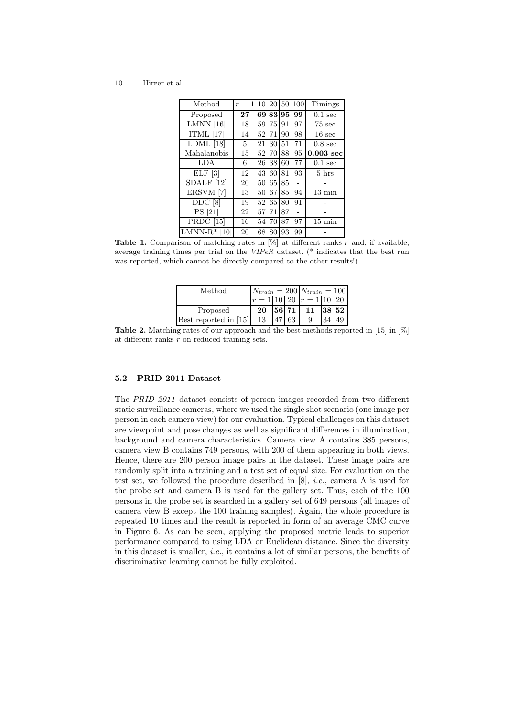| Method                         | $r=1$ | 10 | 20 | 50 | 100 | Timings           |
|--------------------------------|-------|----|----|----|-----|-------------------|
| Proposed                       | 27    | 69 | 83 | 95 | 99  | $0.1 \text{ sec}$ |
| $LMNN$ [16]                    | 18    | 59 | 75 | 91 | 97  | $75 \text{ sec}$  |
| ITML $[17]$                    | 14    | 52 | 71 | 90 | 98  | $16 \text{ sec}$  |
| $LDML$ [18]                    | 5     | 21 | 30 | 51 | 71  | $0.8 \text{ sec}$ |
| Mahalanobis                    | 15    | 52 | 70 | 88 | 95  | $0.003$ sec       |
| LDA                            | 6     | 26 | 38 | 60 | 77  | $0.1 \text{ sec}$ |
| ELF[3]                         | 12    | 43 | 60 | 81 | 93  | $5 \; \text{hrs}$ |
| $\overline{\text{SDALF}}$ [12] | 20    | 50 | 65 | 85 |     |                   |
| ERSVM [7]                      | 13    | 50 | 67 | 85 | 94  | $13 \text{ min}$  |
| DDC <sub>[8]</sub>             | 19    | 52 | 65 | 80 | 91  |                   |
| PS [21]                        | 22    | 57 | 71 | 87 |     |                   |
| <b>PRDC</b> [15]               | 16    | 54 | 70 | 87 | 97  | $15 \text{ min}$  |
| $LMNN-R*$<br>10                | 20    | 68 | 80 | 93 | 99  |                   |

**Table 1.** Comparison of matching rates in  $[\%]$  at different ranks r and, if available, average training times per trial on the VIPeR dataset. (\* indicates that the best run was reported, which cannot be directly compared to the other results!)

| Method                  |    |    | $N_{train} = 200 N_{train} = 100$ |       |
|-------------------------|----|----|-----------------------------------|-------|
|                         |    |    | $r = 1 10 20$ $r = 1 10 20$       |       |
| Proposed                | 20 |    | 56 71 11                          | 38 52 |
| Best reported in $[15]$ | 13 | 63 |                                   | 49    |
|                         |    |    |                                   |       |

Table 2. Matching rates of our approach and the best methods reported in [15] in [%] at different ranks r on reduced training sets.

### 5.2 PRID 2011 Dataset

The PRID 2011 dataset consists of person images recorded from two different static surveillance cameras, where we used the single shot scenario (one image per person in each camera view) for our evaluation. Typical challenges on this dataset are viewpoint and pose changes as well as significant differences in illumination, background and camera characteristics. Camera view A contains 385 persons, camera view B contains 749 persons, with 200 of them appearing in both views. Hence, there are 200 person image pairs in the dataset. These image pairs are randomly split into a training and a test set of equal size. For evaluation on the test set, we followed the procedure described in  $[8]$ , *i.e.*, camera A is used for the probe set and camera B is used for the gallery set. Thus, each of the 100 persons in the probe set is searched in a gallery set of 649 persons (all images of camera view B except the 100 training samples). Again, the whole procedure is repeated 10 times and the result is reported in form of an average CMC curve in Figure 6. As can be seen, applying the proposed metric leads to superior performance compared to using LDA or Euclidean distance. Since the diversity in this dataset is smaller, i.e., it contains a lot of similar persons, the benefits of discriminative learning cannot be fully exploited.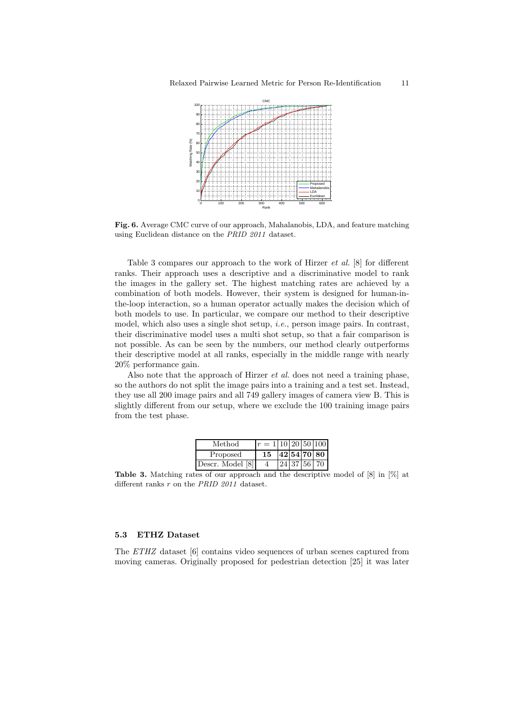

Fig. 6. Average CMC curve of our approach, Mahalanobis, LDA, and feature matching using Euclidean distance on the PRID 2011 dataset.

Table 3 compares our approach to the work of Hirzer et al. [8] for different ranks. Their approach uses a descriptive and a discriminative model to rank the images in the gallery set. The highest matching rates are achieved by a combination of both models. However, their system is designed for human-inthe-loop interaction, so a human operator actually makes the decision which of both models to use. In particular, we compare our method to their descriptive model, which also uses a single shot setup, i.e., person image pairs. In contrast, their discriminative model uses a multi shot setup, so that a fair comparison is not possible. As can be seen by the numbers, our method clearly outperforms their descriptive model at all ranks, especially in the middle range with nearly 20% performance gain.

Also note that the approach of Hirzer *et al.* does not need a training phase, so the authors do not split the image pairs into a training and a test set. Instead, they use all 200 image pairs and all 749 gallery images of camera view B. This is slightly different from our setup, where we exclude the 100 training image pairs from the test phase.

| Method           | $\boldsymbol{r}$ |  | $= 1 10 20 50 100$ |
|------------------|------------------|--|--------------------|
| Proposed         | 15               |  | 42 54 70 80        |
| Descr. Model [8] |                  |  | 24   37   56   70  |

Table 3. Matching rates of our approach and the descriptive model of [8] in [%] at different ranks r on the PRID 2011 dataset.

## 5.3 ETHZ Dataset

The ETHZ dataset [6] contains video sequences of urban scenes captured from moving cameras. Originally proposed for pedestrian detection [25] it was later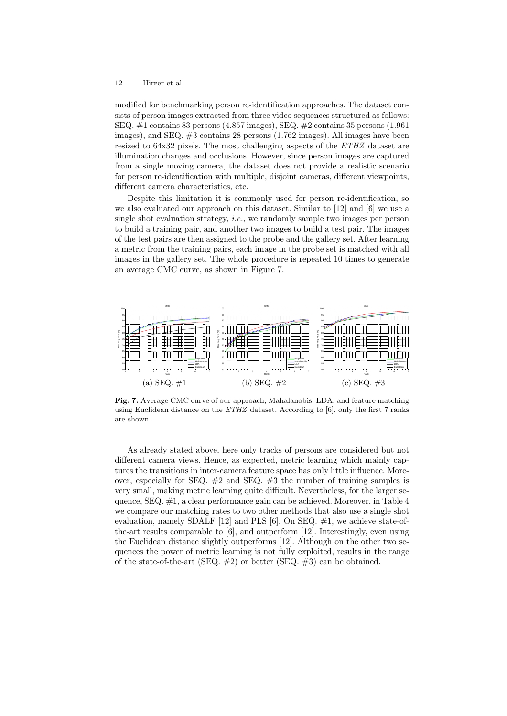modified for benchmarking person re-identification approaches. The dataset consists of person images extracted from three video sequences structured as follows: SEQ. #1 contains 83 persons (4.857 images), SEQ. #2 contains 35 persons (1.961 images), and SEQ. #3 contains 28 persons (1.762 images). All images have been resized to 64x32 pixels. The most challenging aspects of the ETHZ dataset are illumination changes and occlusions. However, since person images are captured from a single moving camera, the dataset does not provide a realistic scenario for person re-identification with multiple, disjoint cameras, different viewpoints, different camera characteristics, etc.

Despite this limitation it is commonly used for person re-identification, so we also evaluated our approach on this dataset. Similar to [12] and [6] we use a single shot evaluation strategy, *i.e.*, we randomly sample two images per person to build a training pair, and another two images to build a test pair. The images of the test pairs are then assigned to the probe and the gallery set. After learning a metric from the training pairs, each image in the probe set is matched with all images in the gallery set. The whole procedure is repeated 10 times to generate an average CMC curve, as shown in Figure 7.



Fig. 7. Average CMC curve of our approach, Mahalanobis, LDA, and feature matching using Euclidean distance on the  $ETHZ$  dataset. According to [6], only the first 7 ranks are shown.

As already stated above, here only tracks of persons are considered but not different camera views. Hence, as expected, metric learning which mainly captures the transitions in inter-camera feature space has only little influence. Moreover, especially for SEQ.  $#2$  and SEQ.  $#3$  the number of training samples is very small, making metric learning quite difficult. Nevertheless, for the larger sequence,  $SEQ. \#1$ , a clear performance gain can be achieved. Moreover, in Table 4 we compare our matching rates to two other methods that also use a single shot evaluation, namely SDALF  $[12]$  and PLS  $[6]$ . On SEQ.  $\#1$ , we achieve state-ofthe-art results comparable to [6], and outperform [12]. Interestingly, even using the Euclidean distance slightly outperforms [12]. Although on the other two sequences the power of metric learning is not fully exploited, results in the range of the state-of-the-art (SEQ.  $\#2$ ) or better (SEQ.  $\#3$ ) can be obtained.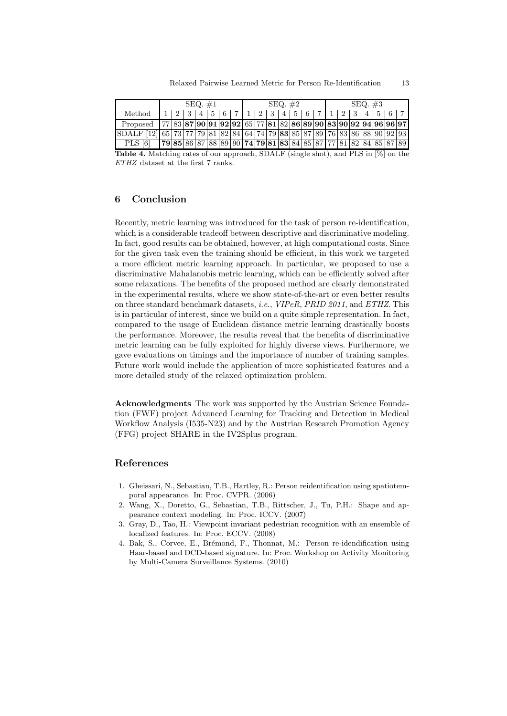|                                                                           | $SEQ. \#1$                                                                  |  |  |  |  |  | SEQ. $#2$ |  |  |                 |  |  |  | SEQ. $#3$ |  |  |        |  |  |  |  |
|---------------------------------------------------------------------------|-----------------------------------------------------------------------------|--|--|--|--|--|-----------|--|--|-----------------|--|--|--|-----------|--|--|--------|--|--|--|--|
| Method                                                                    |                                                                             |  |  |  |  |  |           |  |  | $2 \mid 3 \mid$ |  |  |  |           |  |  | 12 3 4 |  |  |  |  |
| Proposed                                                                  | $[77 83 87 90 91 92 92 65 77 81 82 86 89 90 83 90 92 94 96 96 97]$          |  |  |  |  |  |           |  |  |                 |  |  |  |           |  |  |        |  |  |  |  |
| SDALF [12] 65 73 77 79 81 82 84 64 74 79 83 85 87 89 76 83 86 88 90 92 93 |                                                                             |  |  |  |  |  |           |  |  |                 |  |  |  |           |  |  |        |  |  |  |  |
| PLS.                                                                      | $\overline{79}$ 85 86 87 88 89 90 74 79 81 83 84 85 87 77 81 82 84 85 87 89 |  |  |  |  |  |           |  |  |                 |  |  |  |           |  |  |        |  |  |  |  |

Table 4. Matching rates of our approach, SDALF (single shot), and PLS in [%] on the ETHZ dataset at the first 7 ranks.

# 6 Conclusion

Recently, metric learning was introduced for the task of person re-identification, which is a considerable tradeoff between descriptive and discriminative modeling. In fact, good results can be obtained, however, at high computational costs. Since for the given task even the training should be efficient, in this work we targeted a more efficient metric learning approach. In particular, we proposed to use a discriminative Mahalanobis metric learning, which can be efficiently solved after some relaxations. The benefits of the proposed method are clearly demonstrated in the experimental results, where we show state-of-the-art or even better results on three standard benchmark datasets, i.e., VIPeR, PRID 2011, and ETHZ. This is in particular of interest, since we build on a quite simple representation. In fact, compared to the usage of Euclidean distance metric learning drastically boosts the performance. Moreover, the results reveal that the benefits of discriminative metric learning can be fully exploited for highly diverse views. Furthermore, we gave evaluations on timings and the importance of number of training samples. Future work would include the application of more sophisticated features and a more detailed study of the relaxed optimization problem.

Acknowledgments The work was supported by the Austrian Science Foundation (FWF) project Advanced Learning for Tracking and Detection in Medical Workflow Analysis (I535-N23) and by the Austrian Research Promotion Agency (FFG) project SHARE in the IV2Splus program.

# References

- 1. Gheissari, N., Sebastian, T.B., Hartley, R.: Person reidentification using spatiotemporal appearance. In: Proc. CVPR. (2006)
- 2. Wang, X., Doretto, G., Sebastian, T.B., Rittscher, J., Tu, P.H.: Shape and appearance context modeling. In: Proc. ICCV. (2007)
- 3. Gray, D., Tao, H.: Viewpoint invariant pedestrian recognition with an ensemble of localized features. In: Proc. ECCV. (2008)
- 4. Bak, S., Corvee, E., Brémond, F., Thonnat, M.: Person re-idendification using Haar-based and DCD-based signature. In: Proc. Workshop on Activity Monitoring by Multi-Camera Surveillance Systems. (2010)